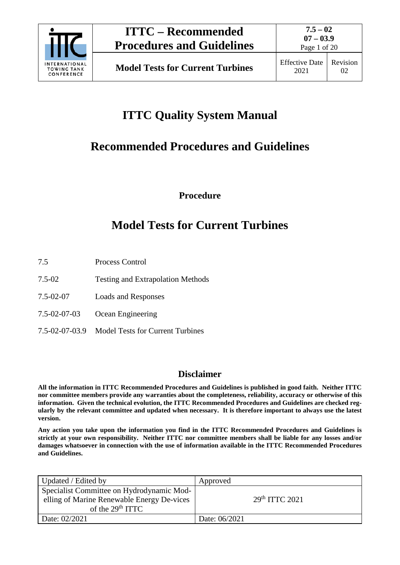

Page 1 of 20

# **ITTC Quality System Manual**

# **Recommended Procedures and Guidelines**

**Procedure**

## **Model Tests for Current Turbines**

- 7.5 Process Control
- 7.5-02 Testing and Extrapolation Methods
- 7.5-02-07 Loads and Responses
- 7.5-02-07-03 Ocean Engineering
- 7.5-02-07-03.9 Model Tests for Current Turbines

## **Disclaimer**

**All the information in ITTC Recommended Procedures and Guidelines is published in good faith. Neither ITTC nor committee members provide any warranties about the completeness, reliability, accuracy or otherwise of this information. Given the technical evolution, the ITTC Recommended Procedures and Guidelines are checked regularly by the relevant committee and updated when necessary. It is therefore important to always use the latest version.**

**Any action you take upon the information you find in the ITTC Recommended Procedures and Guidelines is strictly at your own responsibility. Neither ITTC nor committee members shall be liable for any losses and/or damages whatsoever in connection with the use of information available in the ITTC Recommended Procedures and Guidelines.**

| Updated / Edited by                                                                                           | Approved                   |
|---------------------------------------------------------------------------------------------------------------|----------------------------|
| Specialist Committee on Hydrodynamic Mod-<br>elling of Marine Renewable Energy De-vices<br>of the $29th ITTC$ | 29 <sup>th</sup> TTTC 2021 |
| Date: 02/2021                                                                                                 | Date: 06/2021              |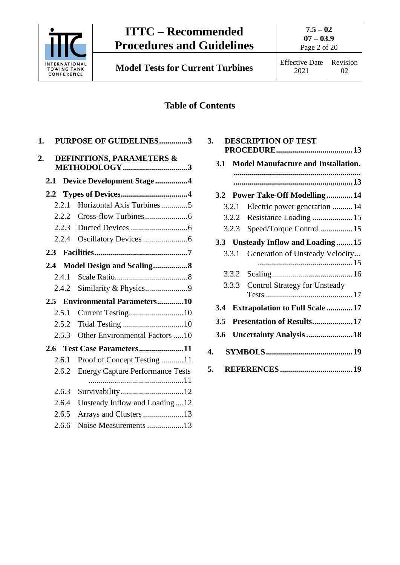

Page 2 of 20

# 02

## **Table of Contents**

| 1.                         | <b>PURPOSE OF GUIDELINES3</b>           |  |
|----------------------------|-----------------------------------------|--|
| 2.                         | <b>DEFINITIONS, PARAMETERS &amp;</b>    |  |
| 2.1                        | <b>Device Development Stage4</b>        |  |
| 2.2                        |                                         |  |
| 2.2.1                      | Horizontal Axis Turbines5               |  |
| 2.2.2                      |                                         |  |
| 2.2.3                      |                                         |  |
| 2.2.4                      |                                         |  |
|                            |                                         |  |
| 2.4                        | Model Design and Scaling8               |  |
| 2.4.1                      |                                         |  |
| 2.4.2                      |                                         |  |
| $2.5 -$                    | <b>Environmental Parameters10</b>       |  |
| 2.5.1                      |                                         |  |
| 2.5.2                      |                                         |  |
| 2.5.3                      | Other Environmental Factors 10          |  |
| 2.6 Test Case Parameters11 |                                         |  |
| 2.6.1                      | Proof of Concept Testing 11             |  |
| 2.6.2                      | <b>Energy Capture Performance Tests</b> |  |
| 2.6.3                      | Survivability12                         |  |
| 2.6.4                      | Unsteady Inflow and Loading12           |  |
| 2.6.5                      | Arrays and Clusters  13                 |  |
| 2.6.6                      | Noise Measurements 13                   |  |

| 3.  |            | <b>DESCRIPTION OF TEST</b>                 |  |
|-----|------------|--------------------------------------------|--|
|     | <b>3.1</b> | <b>Model Manufacture and Installation.</b> |  |
|     |            |                                            |  |
|     |            |                                            |  |
|     |            | 3.2 Power Take-Off Modelling14             |  |
|     | 3.2.1      | Electric power generation  14              |  |
|     | 3.2.2      |                                            |  |
|     | 3.2.3      | Speed/Torque Control  15                   |  |
|     |            | 3.3 Unsteady Inflow and Loading15          |  |
|     | 3.3.1      | Generation of Unsteady Velocity            |  |
|     |            |                                            |  |
|     | 3.3.2      |                                            |  |
|     | 3.3.3      | <b>Control Strategy for Unsteady</b>       |  |
|     |            |                                            |  |
| 3.4 |            | <b>Extrapolation to Full Scale  17</b>     |  |
| 3.5 |            | Presentation of Results17                  |  |
| 3.6 |            | <b>Uncertainty Analysis  18</b>            |  |
| 4.  |            |                                            |  |
| 5.  |            |                                            |  |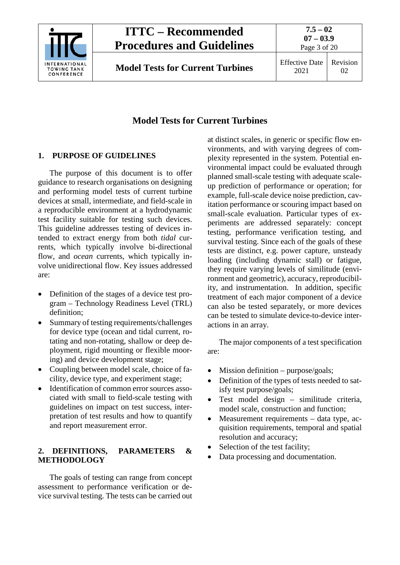

**7.5 – 02 07 – 03.9** Page 3 of 20

## **Model Tests for Current Turbines**

## <span id="page-2-0"></span>**1. PURPOSE OF GUIDELINES**

The purpose of this document is to offer guidance to research organisations on designing and performing model tests of current turbine devices at small, intermediate, and field-scale in a reproducible environment at a hydrodynamic test facility suitable for testing such devices. This guideline addresses testing of devices intended to extract energy from both *tidal* currents, which typically involve bi-directional flow, and *ocean* currents, which typically involve unidirectional flow. Key issues addressed are:

- Definition of the stages of a device test program – Technology Readiness Level (TRL) definition;
- Summary of testing requirements/challenges for device type (ocean and tidal current, rotating and non-rotating, shallow or deep deployment, rigid mounting or flexible mooring) and device development stage;
- Coupling between model scale, choice of facility, device type, and experiment stage;
- Identification of common error sources associated with small to field-scale testing with guidelines on impact on test success, interpretation of test results and how to quantify and report measurement error.

## <span id="page-2-1"></span>**2. DEFINITIONS, PARAMETERS & METHODOLOGY**

The goals of testing can range from concept assessment to performance verification or device survival testing. The tests can be carried out

at distinct scales, in generic or specific flow environments, and with varying degrees of complexity represented in the system. Potential environmental impact could be evaluated through planned small-scale testing with adequate scaleup prediction of performance or operation; for example, full-scale device noise prediction, cavitation performance or scouring impact based on small-scale evaluation. Particular types of experiments are addressed separately: concept testing, performance verification testing, and survival testing. Since each of the goals of these tests are distinct, e.g. power capture, unsteady loading (including dynamic stall) or fatigue, they require varying levels of similitude (environment and geometric), accuracy, reproducibility, and instrumentation. In addition, specific treatment of each major component of a device can also be tested separately, or more devices can be tested to simulate device-to-device interactions in an array.

The major components of a test specification are:

- Mission definition purpose/goals;
- Definition of the types of tests needed to satisfy test purpose/goals;
- Test model design similitude criteria, model scale, construction and function;
- Measurement requirements data type, acquisition requirements, temporal and spatial resolution and accuracy;
- Selection of the test facility;
- Data processing and documentation.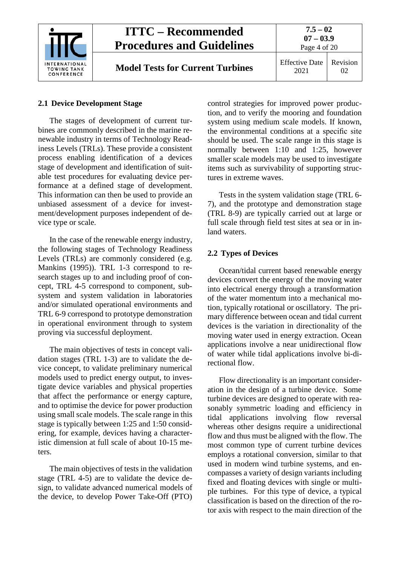

## <span id="page-3-0"></span>**2.1 Device Development Stage**

The stages of development of current turbines are commonly described in the marine renewable industry in terms of Technology Readiness Levels (TRLs). These provide a consistent process enabling identification of a devices stage of development and identification of suitable test procedures for evaluating device performance at a defined stage of development. This information can then be used to provide an unbiased assessment of a device for investment/development purposes independent of device type or scale.

In the case of the renewable energy industry, the following stages of Technology Readiness Levels (TRLs) are commonly considered (e.g. Mankins (1995)). TRL 1-3 correspond to research stages up to and including proof of concept, TRL 4-5 correspond to component, subsystem and system validation in laboratories and/or simulated operational environments and TRL 6-9 correspond to prototype demonstration in operational environment through to system proving via successful deployment.

The main objectives of tests in concept validation stages (TRL 1-3) are to validate the device concept, to validate preliminary numerical models used to predict energy output, to investigate device variables and physical properties that affect the performance or energy capture, and to optimise the device for power production using small scale models. The scale range in this stage is typically between 1:25 and 1:50 considering, for example, devices having a characteristic dimension at full scale of about 10-15 meters.

The main objectives of tests in the validation stage (TRL 4-5) are to validate the device design, to validate advanced numerical models of the device, to develop Power Take-Off (PTO) control strategies for improved power production, and to verify the mooring and foundation system using medium scale models. If known, the environmental conditions at a specific site should be used. The scale range in this stage is normally between 1:10 and 1:25, however smaller scale models may be used to investigate items such as survivability of supporting structures in extreme waves.

Tests in the system validation stage (TRL 6- 7), and the prototype and demonstration stage (TRL 8-9) are typically carried out at large or full scale through field test sites at sea or in inland waters.

## <span id="page-3-1"></span>**2.2 Types of Devices**

Ocean/tidal current based renewable energy devices convert the energy of the moving water into electrical energy through a transformation of the water momentum into a mechanical motion, typically rotational or oscillatory. The primary difference between ocean and tidal current devices is the variation in directionality of the moving water used in energy extraction. Ocean applications involve a near unidirectional flow of water while tidal applications involve bi-directional flow.

Flow directionality is an important consideration in the design of a turbine device. Some turbine devices are designed to operate with reasonably symmetric loading and efficiency in tidal applications involving flow reversal whereas other designs require a unidirectional flow and thus must be aligned with the flow. The most common type of current turbine devices employs a rotational conversion, similar to that used in modern wind turbine systems, and encompasses a variety of design variants including fixed and floating devices with single or multiple turbines. For this type of device, a typical classification is based on the direction of the rotor axis with respect to the main direction of the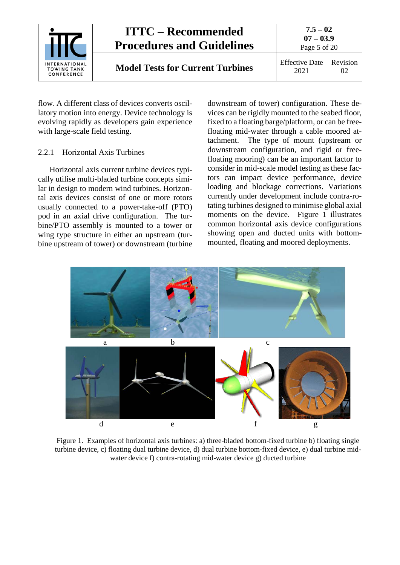

flow. A different class of devices converts oscillatory motion into energy. Device technology is evolving rapidly as developers gain experience with large-scale field testing.

## <span id="page-4-0"></span>2.2.1 Horizontal Axis Turbines

Horizontal axis current turbine devices typically utilise multi-bladed turbine concepts similar in design to modern wind turbines. Horizontal axis devices consist of one or more rotors usually connected to a power-take-off (PTO) pod in an axial drive configuration. The turbine/PTO assembly is mounted to a tower or wing type structure in either an upstream (turbine upstream of tower) or downstream (turbine downstream of tower) configuration. These devices can be rigidly mounted to the seabed floor, fixed to a floating barge/platform, or can be freefloating mid-water through a cable moored attachment. The type of mount (upstream or downstream configuration, and rigid or freefloating mooring) can be an important factor to consider in mid-scale model testing as these factors can impact device performance, device loading and blockage corrections. Variations currently under development include contra-rotating turbines designed to minimise global axial moments on the device. Figure 1 illustrates common horizontal axis device configurations showing open and ducted units with bottommounted, floating and moored deployments.



Figure 1. Examples of horizontal axis turbines: a) three-bladed bottom-fixed turbine b) floating single turbine device, c) floating dual turbine device, d) dual turbine bottom-fixed device, e) dual turbine midwater device f) contra-rotating mid-water device g) ducted turbine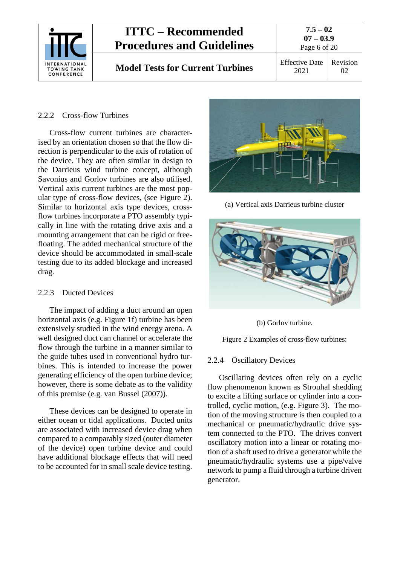

## <span id="page-5-0"></span>2.2.2 Cross-flow Turbines

Cross-flow current turbines are characterised by an orientation chosen so that the flow direction is perpendicular to the axis of rotation of the device. They are often similar in design to the Darrieus wind turbine concept, although Savonius and Gorlov turbines are also utilised. Vertical axis current turbines are the most popular type of cross-flow devices, (see Figure 2). Similar to horizontal axis type devices, crossflow turbines incorporate a PTO assembly typically in line with the rotating drive axis and a mounting arrangement that can be rigid or freefloating. The added mechanical structure of the device should be accommodated in small-scale testing due to its added blockage and increased drag.

#### <span id="page-5-1"></span>2.2.3 Ducted Devices

The impact of adding a duct around an open horizontal axis (e.g. Figure 1f) turbine has been extensively studied in the wind energy arena. A well designed duct can channel or accelerate the flow through the turbine in a manner similar to the guide tubes used in conventional hydro turbines. This is intended to increase the power generating efficiency of the open turbine device; however, there is some debate as to the validity of this premise (e.g. van Bussel (2007)).

These devices can be designed to operate in either ocean or tidal applications. Ducted units are associated with increased device drag when compared to a comparably sized (outer diameter of the device) open turbine device and could have additional blockage effects that will need to be accounted for in small scale device testing.



(a) Vertical axis Darrieus turbine cluster



(b) Gorlov turbine.

Figure 2 Examples of cross-flow turbines:

## <span id="page-5-2"></span>2.2.4 Oscillatory Devices

Oscillating devices often rely on a cyclic flow phenomenon known as Strouhal shedding to excite a lifting surface or cylinder into a controlled, cyclic motion, (e.g. Figure 3). The motion of the moving structure is then coupled to a mechanical or pneumatic/hydraulic drive system connected to the PTO. The drives convert oscillatory motion into a linear or rotating motion of a shaft used to drive a generator while the pneumatic/hydraulic systems use a pipe/valve network to pump a fluid through a turbine driven generator.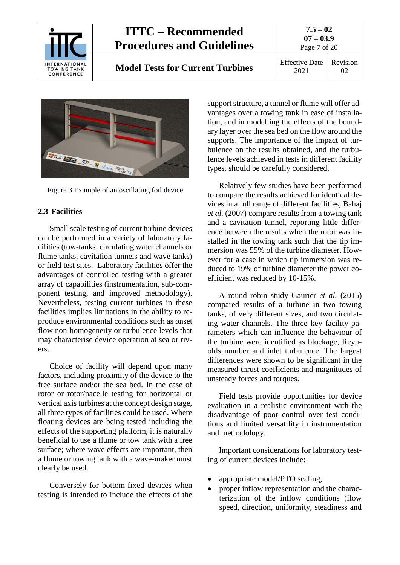

**Model Tests for Current Turbines** Effective Date

**07 – 03.9** Page 7 of 20 2021 Revision 02

**7.5 – 02**



Figure 3 Example of an oscillating foil device

## <span id="page-6-0"></span>**2.3 Facilities**

Small scale testing of current turbine devices can be performed in a variety of laboratory facilities (tow-tanks, circulating water channels or flume tanks, cavitation tunnels and wave tanks) or field test sites. Laboratory facilities offer the advantages of controlled testing with a greater array of capabilities (instrumentation, sub-component testing, and improved methodology). Nevertheless, testing current turbines in these facilities implies limitations in the ability to reproduce environmental conditions such as onset flow non-homogeneity or turbulence levels that may characterise device operation at sea or rivers.

Choice of facility will depend upon many factors, including proximity of the device to the free surface and/or the sea bed. In the case of rotor or rotor/nacelle testing for horizontal or vertical axis turbines at the concept design stage, all three types of facilities could be used. Where floating devices are being tested including the effects of the supporting platform, it is naturally beneficial to use a flume or tow tank with a free surface; where wave effects are important, then a flume or towing tank with a wave-maker must clearly be used.

Conversely for bottom-fixed devices when testing is intended to include the effects of the

support structure, a tunnel or flume will offer advantages over a towing tank in ease of installation, and in modelling the effects of the boundary layer over the sea bed on the flow around the supports. The importance of the impact of turbulence on the results obtained, and the turbulence levels achieved in tests in different facility types, should be carefully considered.

Relatively few studies have been performed to compare the results achieved for identical devices in a full range of different facilities; Bahaj *et al.* (2007) compare results from a towing tank and a cavitation tunnel, reporting little difference between the results when the rotor was installed in the towing tank such that the tip immersion was 55% of the turbine diameter. However for a case in which tip immersion was reduced to 19% of turbine diameter the power coefficient was reduced by 10-15%.

A round robin study Gaurier *et al.* (2015) compared results of a turbine in two towing tanks, of very different sizes, and two circulating water channels. The three key facility parameters which can influence the behaviour of the turbine were identified as blockage, Reynolds number and inlet turbulence. The largest differences were shown to be significant in the measured thrust coefficients and magnitudes of unsteady forces and torques.

Field tests provide opportunities for device evaluation in a realistic environment with the disadvantage of poor control over test conditions and limited versatility in instrumentation and methodology.

Important considerations for laboratory testing of current devices include:

- appropriate model/PTO scaling,
- proper inflow representation and the characterization of the inflow conditions (flow speed, direction, uniformity, steadiness and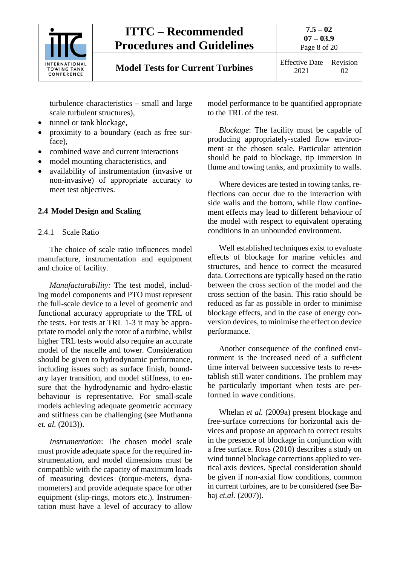

## **Model Tests for Current Turbines** Effective Date

Page 8 of 20

turbulence characteristics – small and large scale turbulent structures),

- tunnel or tank blockage,
- proximity to a boundary (each as free surface),
- combined wave and current interactions
- model mounting characteristics, and
- availability of instrumentation (invasive or non-invasive) of appropriate accuracy to meet test objectives.

## <span id="page-7-1"></span><span id="page-7-0"></span>**2.4 Model Design and Scaling**

## 2.4.1 Scale Ratio

The choice of scale ratio influences model manufacture, instrumentation and equipment and choice of facility.

*Manufacturability:* The test model, including model components and PTO must represent the full-scale device to a level of geometric and functional accuracy appropriate to the TRL of the tests. For tests at TRL 1-3 it may be appropriate to model only the rotor of a turbine, whilst higher TRL tests would also require an accurate model of the nacelle and tower. Consideration should be given to hydrodynamic performance, including issues such as surface finish, boundary layer transition, and model stiffness, to ensure that the hydrodynamic and hydro-elastic behaviour is representative. For small-scale models achieving adequate geometric accuracy and stiffness can be challenging (see Muthanna *et. al.* (2013)).

*Instrumentation*: The chosen model scale must provide adequate space for the required instrumentation, and model dimensions must be compatible with the capacity of maximum loads of measuring devices (torque-meters, dynamometers) and provide adequate space for other equipment (slip-rings, motors etc.). Instrumentation must have a level of accuracy to allow model performance to be quantified appropriate to the TRL of the test.

*Blockage*: The facility must be capable of producing appropriately-scaled flow environment at the chosen scale. Particular attention should be paid to blockage, tip immersion in flume and towing tanks, and proximity to walls.

Where devices are tested in towing tanks, reflections can occur due to the interaction with side walls and the bottom, while flow confinement effects may lead to different behaviour of the model with respect to equivalent operating conditions in an unbounded environment.

Well established techniques exist to evaluate effects of blockage for marine vehicles and structures, and hence to correct the measured data. Corrections are typically based on the ratio between the cross section of the model and the cross section of the basin. This ratio should be reduced as far as possible in order to minimise blockage effects, and in the case of energy conversion devices, to minimise the effect on device performance.

Another consequence of the confined environment is the increased need of a sufficient time interval between successive tests to re-establish still water conditions. The problem may be particularly important when tests are performed in wave conditions.

Whelan *et al.* (2009a) present blockage and free-surface corrections for horizontal axis devices and propose an approach to correct results in the presence of blockage in conjunction with a free surface. Ross (2010) describes a study on wind tunnel blockage corrections applied to vertical axis devices. Special consideration should be given if non-axial flow conditions, common in current turbines, are to be considered (see Bahaj *et.al.* (2007)).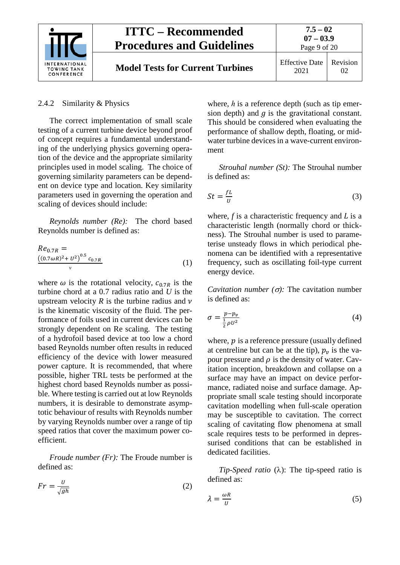

#### <span id="page-8-0"></span>2.4.2 Similarity & Physics

The correct implementation of small scale testing of a current turbine device beyond proof of concept requires a fundamental understanding of the underlying physics governing operation of the device and the appropriate similarity principles used in model scaling. The choice of governing similarity parameters can be dependent on device type and location. Key similarity parameters used in governing the operation and scaling of devices should include:

*Reynolds number (Re):* The chord based Reynolds number is defined as:

$$
Re_{0.7R} = (0.7\omega R)^2 + U^2)^{0.5} c_{0.7R}
$$
  
y (1)

where  $\omega$  is the rotational velocity,  $c_{0.7R}$  is the turbine chord at a 0.7 radius ratio and *U* is the upstream velocity  $R$  is the turbine radius and  $\nu$ is the kinematic viscosity of the fluid. The performance of foils used in current devices can be strongly dependent on Re scaling. The testing of a hydrofoil based device at too low a chord based Reynolds number often results in reduced efficiency of the device with lower measured power capture. It is recommended, that where possible, higher TRL tests be performed at the highest chord based Reynolds number as possible. Where testing is carried out at low Reynolds numbers, it is desirable to demonstrate asymptotic behaviour of results with Reynolds number by varying Reynolds number over a range of tip speed ratios that cover the maximum power coefficient.

*Froude number (Fr):* The Froude number is defined as:

$$
Fr = \frac{U}{\sqrt{gh}}\tag{2}
$$

where, *h* is a reference depth (such as tip emersion depth) and  $q$  is the gravitational constant. This should be considered when evaluating the performance of shallow depth, floating, or midwater turbine devices in a wave-current environment

*Strouhal number (St):* The Strouhal number is defined as:

$$
St = \frac{fL}{U} \tag{3}
$$

where,  $f$  is a characteristic frequency and  $L$  is a characteristic length (normally chord or thickness). The Strouhal number is used to parameterise unsteady flows in which periodical phenomena can be identified with a representative frequency, such as oscillating foil-type current energy device.

*Cavitation number*  $(\sigma)$ : The cavitation number is defined as:

$$
\sigma = \frac{p - p_v}{\frac{1}{2}\rho U^2} \tag{4}
$$

where,  $p$  is a reference pressure (usually defined at centreline but can be at the tip),  $p<sub>v</sub>$  is the vapour pressure and  $\rho$  is the density of water. Cavitation inception, breakdown and collapse on a surface may have an impact on device performance, radiated noise and surface damage. Appropriate small scale testing should incorporate cavitation modelling when full-scale operation may be susceptible to cavitation. The correct scaling of cavitating flow phenomena at small scale requires tests to be performed in depressurised conditions that can be established in dedicated facilities.

*Tip-Speed ratio* (λ): The tip-speed ratio is defined as:

$$
\lambda = \frac{\omega R}{U} \tag{5}
$$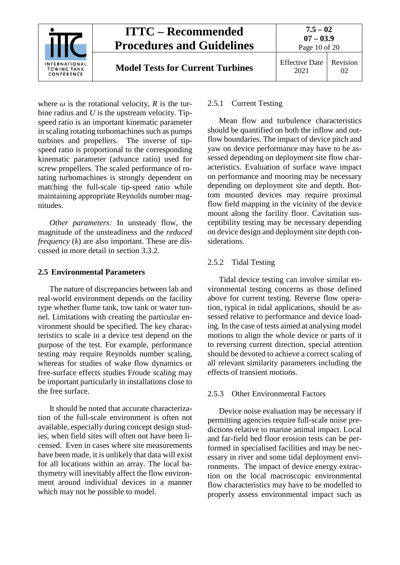

where  $\omega$  is the rotational velocity, *R* is the turbine radius and *U* is the upstream velocity. Tipspeed ratio is an important kinematic parameter in scaling rotating turbomachines such as pumps turbines and propellers. The inverse of tipspeed ratio is proportional to the corresponding kinematic parameter (advance ratio) used for screw propellers. The scaled performance of rotating turbomachines is strongly dependent on matching the full-scale tip-speed ratio while maintaining appropriate Reynolds number magnitudes.

*Other parameters:* In unsteady flow, the magnitude of the unsteadiness and the *reduced frequency* (*k*) are also important. These are discussed in more detail in section [3.3.2.](#page-15-0)

## <span id="page-9-0"></span>**2.5 Environmental Parameters**

The nature of discrepancies between lab and real-world environment depends on the facility type whether flume tank, tow tank or water tunnel. Limitations with creating the particular environment should be specified. The key characteristics to scale in a device test depend on the purpose of the test. For example, performance testing may require Reynolds number scaling, whereas for studies of wake flow dynamics or free-surface effects studies Froude scaling may be important particularly in installations close to the free surface.

It should be noted that accurate characterization of the full-scale environment is often not available, especially during concept design studies, when field sites will often not have been licensed. Even in cases where site measurements have been made, it is unlikely that data will exist for all locations within an array. The local bathymetry will inevitably affect the flow environment around individual devices in a manner which may not be possible to model.

## <span id="page-9-1"></span>2.5.1 Current Testing

Mean flow and turbulence characteristics should be quantified on both the inflow and outflow boundaries. The impact of device pitch and yaw on device performance may have to be assessed depending on deployment site flow characteristics. Evaluation of surface wave impact on performance and mooring may be necessary depending on deployment site and depth. Bottom mounted devices may require proximal flow field mapping in the vicinity of the device mount along the facility floor. Cavitation susceptibility testing may be necessary depending on device design and deployment site depth considerations.

## <span id="page-9-2"></span>2.5.2 Tidal Testing

Tidal device testing can involve similar environmental testing concerns as those defined above for current testing. Reverse flow operation, typical in tidal applications, should be assessed relative to performance and device loading. In the case of tests aimed at analysing model motions to align the whole device or parts of it to reversing current direction, special attention should be devoted to achieve a correct scaling of all relevant similarity parameters including the effects of transient motions.

## <span id="page-9-3"></span>2.5.3 Other Environmental Factors

Device noise evaluation may be necessary if permitting agencies require full-scale noise predictions relative to marine animal impact. Local and far-field bed floor erosion tests can be performed in specialised facilities and may be necessary in river and some tidal deployment environments. The impact of device energy extraction on the local macroscopic environmental flow characteristics may have to be modelled to properly assess environmental impact such as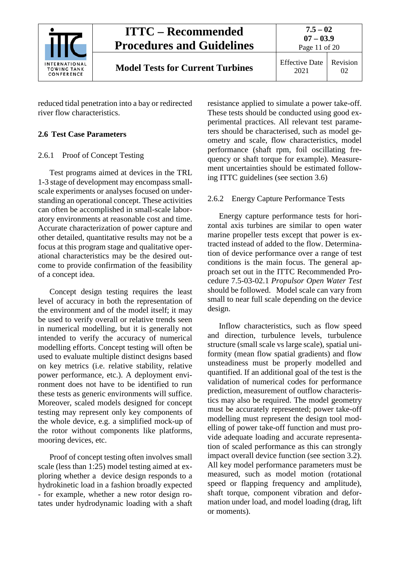

reduced tidal penetration into a bay or redirected river flow characteristics.

## <span id="page-10-1"></span><span id="page-10-0"></span>**2.6 Test Case Parameters**

## 2.6.1 Proof of Concept Testing

Test programs aimed at devices in the TRL 1-3 stage of development may encompass smallscale experiments or analyses focused on understanding an operational concept. These activities can often be accomplished in small-scale laboratory environments at reasonable cost and time. Accurate characterization of power capture and other detailed, quantitative results may not be a focus at this program stage and qualitative operational characteristics may be the desired outcome to provide confirmation of the feasibility of a concept idea.

Concept design testing requires the least level of accuracy in both the representation of the environment and of the model itself; it may be used to verify overall or relative trends seen in numerical modelling, but it is generally not intended to verify the accuracy of numerical modelling efforts. Concept testing will often be used to evaluate multiple distinct designs based on key metrics (i.e. relative stability, relative power performance, etc.). A deployment environment does not have to be identified to run these tests as generic environments will suffice. Moreover, scaled models designed for concept testing may represent only key components of the whole device, e.g. a simplified mock-up of the rotor without components like platforms, mooring devices, etc.

Proof of concept testing often involves small scale (less than 1:25) model testing aimed at exploring whether a device design responds to a hydrokinetic load in a fashion broadly expected - for example, whether a new rotor design rotates under hydrodynamic loading with a shaft resistance applied to simulate a power take-off. These tests should be conducted using good experimental practices. All relevant test parameters should be characterised, such as model geometry and scale, flow characteristics, model performance (shaft rpm, foil oscillating frequency or shaft torque for example). Measurement uncertainties should be estimated following ITTC guidelines (see section [3.6\)](#page-17-0)

## <span id="page-10-2"></span>2.6.2 Energy Capture Performance Tests

Energy capture performance tests for horizontal axis turbines are similar to open water marine propeller tests except that power is extracted instead of added to the flow. Determination of device performance over a range of test conditions is the main focus. The general approach set out in the ITTC Recommended Procedure 7.5-03-02.1 *Propulsor Open Water Test* should be followed. Model scale can vary from small to near full scale depending on the device design.

Inflow characteristics, such as flow speed and direction, turbulence levels, turbulence structure (small scale vs large scale), spatial uniformity (mean flow spatial gradients) and flow unsteadiness must be properly modelled and quantified. If an additional goal of the test is the validation of numerical codes for performance prediction, measurement of outflow characteristics may also be required. The model geometry must be accurately represented; power take-off modelling must represent the design tool modelling of power take-off function and must provide adequate loading and accurate representation of scaled performance as this can strongly impact overall device function (see section [3.2\)](#page-13-0). All key model performance parameters must be measured, such as model motion (rotational speed or flapping frequency and amplitude), shaft torque, component vibration and deformation under load, and model loading (drag, lift or moments).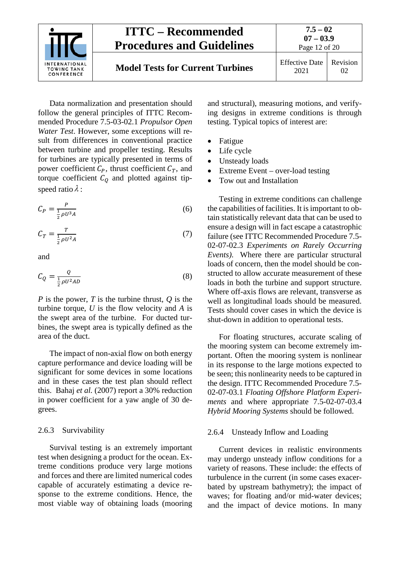

Data normalization and presentation should follow the general principles of ITTC Recommended Procedure 7.5-03-02.1 *Propulsor Open Water Test*. However, some exceptions will result from differences in conventional practice between turbine and propeller testing. Results for turbines are typically presented in terms of power coefficient  $C_p$ , thrust coefficient  $C_T$ , and torque coefficient  $C_Q$  and plotted against tipspeed ratio  $\lambda$  :

$$
C_P = \frac{P}{\frac{1}{2}\rho U^3 A} \tag{6}
$$

$$
C_T = \frac{T}{\frac{1}{2}\rho U^2 A} \tag{7}
$$

and

$$
C_Q = \frac{Q}{\frac{1}{2}\rho U^2 A D} \tag{8}
$$

*P* is the power, *T* is the turbine thrust, *Q* is the turbine torque, *U* is the flow velocity and *A* is the swept area of the turbine. For ducted turbines, the swept area is typically defined as the area of the duct.

The impact of non-axial flow on both energy capture performance and device loading will be significant for some devices in some locations and in these cases the test plan should reflect this. Bahaj *et al.* (2007) report a 30% reduction in power coefficient for a yaw angle of 30 degrees.

#### <span id="page-11-0"></span>2.6.3 Survivability

Survival testing is an extremely important test when designing a product for the ocean. Extreme conditions produce very large motions and forces and there are limited numerical codes capable of accurately estimating a device response to the extreme conditions. Hence, the most viable way of obtaining loads (mooring and structural), measuring motions, and verifying designs in extreme conditions is through testing. Typical topics of interest are:

- Fatigue
- Life cycle
- Unsteady loads
- Extreme Event over-load testing
- Tow out and Installation

Testing in extreme conditions can challenge the capabilities of facilities. It is important to obtain statistically relevant data that can be used to ensure a design will in fact escape a catastrophic failure (see ITTC Recommended Procedure 7.5- 02-07-02.3 *Experiments on Rarely Occurring Events)*. Where there are particular structural loads of concern, then the model should be constructed to allow accurate measurement of these loads in both the turbine and support structure. Where off-axis flows are relevant, transverse as well as longitudinal loads should be measured. Tests should cover cases in which the device is shut-down in addition to operational tests.

For floating structures, accurate scaling of the mooring system can become extremely important. Often the mooring system is nonlinear in its response to the large motions expected to be seen; this nonlinearity needs to be captured in the design. ITTC Recommended Procedure 7.5- 02-07-03.1 *Floating Offshore Platform Experiments* and where appropriate 7.5-02-07-03.4 *Hybrid Mooring Systems* should be followed.

#### <span id="page-11-1"></span>2.6.4 Unsteady Inflow and Loading

Current devices in realistic environments may undergo unsteady inflow conditions for a variety of reasons. These include: the effects of turbulence in the current (in some cases exacerbated by upstream bathymetry); the impact of waves; for floating and/or mid-water devices; and the impact of device motions. In many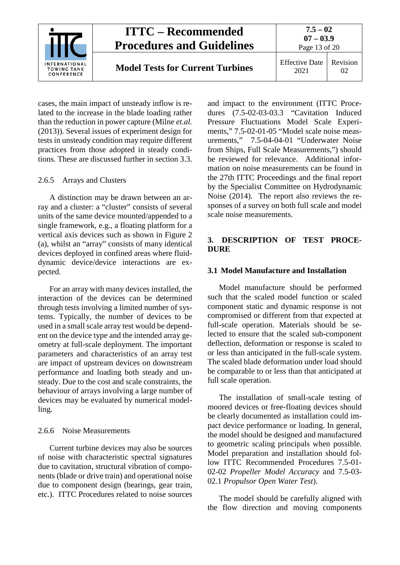

cases, the main impact of unsteady inflow is related to the increase in the blade loading rather than the reduction in power capture (Milne *et.al.*  (2013)). Several issues of experiment design for tests in unsteady condition may require different practices from those adopted in steady conditions. These are discussed further in section [3.3.](#page-14-2)

## <span id="page-12-0"></span>2.6.5 Arrays and Clusters

A distinction may be drawn between an array and a cluster: a "cluster" consists of several units of the same device mounted/appended to a single framework, e.g., a floating platform for a vertical axis devices such as shown in Figure 2 (a), whilst an "array" consists of many identical devices deployed in confined areas where fluiddynamic device/device interactions are expected.

For an array with many devices installed, the interaction of the devices can be determined through tests involving a limited number of systems. Typically, the number of devices to be used in a small scale array test would be dependent on the device type and the intended array geometry at full-scale deployment. The important parameters and characteristics of an array test are impact of upstream devices on downstream performance and loading both steady and unsteady. Due to the cost and scale constraints, the behaviour of arrays involving a large number of devices may be evaluated by numerical modelling.

#### 2.6.6 Noise Measurements

Current turbine devices may also be sources of noise with characteristic spectral signatures due to cavitation, structural vibration of components (blade or drive train) and operational noise due to component design (bearings, gear train, etc.). ITTC Procedures related to noise sources

and impact to the environment (ITTC Procedures (7.5-02-03-03.3 "Cavitation Induced Pressure Fluctuations Model Scale Experiments," 7.5-02-01-05 "Model scale noise measurements," 7.5-04-04-01 "Underwater Noise from Ships, Full Scale Measurements,") should be reviewed for relevance. Additional information on noise measurements can be found in the 27th ITTC Proceedings and the final report by the Specialist Committee on Hydrodynamic Noise (2014). The report also reviews the responses of a survey on both full scale and model scale noise measurements.

## <span id="page-12-1"></span>**3. DESCRIPTION OF TEST PROCE-DURE**

#### <span id="page-12-2"></span>**3.1 Model Manufacture and Installation**

Model manufacture should be performed such that the scaled model function or scaled component static and dynamic response is not compromised or different from that expected at full-scale operation. Materials should be selected to ensure that the scaled sub-component deflection, deformation or response is scaled to or less than anticipated in the full-scale system. The scaled blade deformation under load should be comparable to or less than that anticipated at full scale operation.

The installation of small-scale testing of moored devices or free-floating devices should be clearly documented as installation could impact device performance or loading. In general, the model should be designed and manufactured to geometric scaling principals when possible. Model preparation and installation should follow ITTC Recommended Procedures 7.5-01- 02-02 *Propeller Model Accuracy* and 7.5-03- 02.1 *Propulsor Open Water Test*).

The model should be carefully aligned with the flow direction and moving components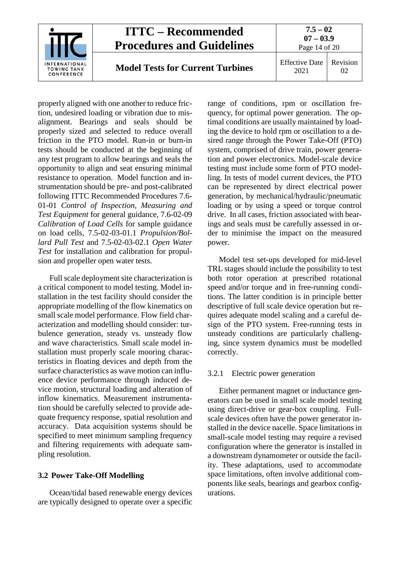

properly aligned with one another to reduce friction, undesired loading or vibration due to misalignment. Bearings and seals should be properly sized and selected to reduce overall friction in the PTO model. Run-in or burn-in tests should be conducted at the beginning of any test program to allow bearings and seals the opportunity to align and seat ensuring minimal resistance to operation. Model function and instrumentation should be pre- and post-calibrated following ITTC Recommended Procedures 7.6- 01-01 *Control of Inspection, Measuring and Test Equipment* for general guidance*,* 7.6-02-09 *Calibration of Load Cells* for sample guidance on load cells*,* 7.5-02-03-01.1 *Propulsion/Bollard Pull Test* and 7.5-02-03-02.1 *Open Water Test* for installation and calibration for propulsion and propeller open water tests.

Full scale deployment site characterization is a critical component to model testing. Model installation in the test facility should consider the appropriate modelling of the flow kinematics on small scale model performance. Flow field characterization and modelling should consider: turbulence generation, steady vs. unsteady flow and wave characteristics. Small scale model installation must properly scale mooring characteristics in floating devices and depth from the surface characteristics as wave motion can influence device performance through induced device motion, structural loading and alteration of inflow kinematics. Measurement instrumentation should be carefully selected to provide adequate frequency response, spatial resolution and accuracy. Data acquisition systems should be specified to meet minimum sampling frequency and filtering requirements with adequate sampling resolution.

## <span id="page-13-0"></span>**3.2 Power Take-Off Modelling**

Ocean/tidal based renewable energy devices are typically designed to operate over a specific range of conditions, rpm or oscillation frequency, for optimal power generation. The optimal conditions are usually maintained by loading the device to hold rpm or oscillation to a desired range through the Power Take-Off (PTO) system, comprised of drive train, power generation and power electronics. Model-scale device testing must include some form of PTO modelling. In tests of model current devices, the PTO can be represented by direct electrical power generation, by mechanical/hydraulic/pneumatic loading or by using a speed or torque control drive. In all cases, friction associated with bearings and seals must be carefully assessed in order to minimise the impact on the measured power.

Model test set-ups developed for mid-level TRL stages should include the possibility to test both rotor operation at prescribed rotational speed and/or torque and in free-running conditions. The latter condition is in principle better descriptive of full scale device operation but requires adequate model scaling and a careful design of the PTO system. Free-running tests in unsteady conditions are particularly challenging, since system dynamics must be modelled correctly.

### <span id="page-13-1"></span>3.2.1 Electric power generation

Either permanent magnet or inductance generators can be used in small scale model testing using direct-drive or gear-box coupling. Fullscale devices often have the power generator installed in the device nacelle. Space limitations in small-scale model testing may require a revised configuration where the generator is installed in a downstream dynamometer or outside the facility. These adaptations, used to accommodate space limitations, often involve additional components like seals, bearings and gearbox configurations.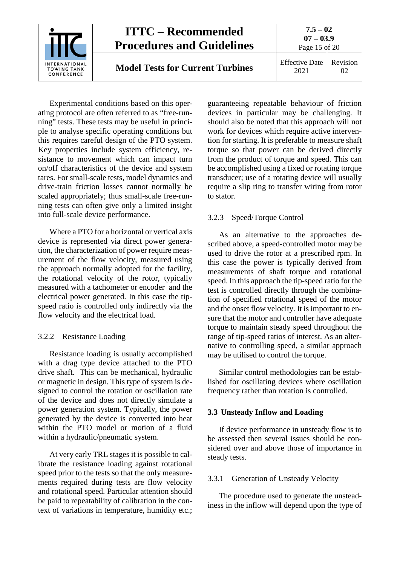

Experimental conditions based on this operating protocol are often referred to as "free-running" tests. These tests may be useful in principle to analyse specific operating conditions but this requires careful design of the PTO system. Key properties include system efficiency, resistance to movement which can impact turn on/off characteristics of the device and system tares. For small-scale tests, model dynamics and drive-train friction losses cannot normally be scaled appropriately; thus small-scale free-running tests can often give only a limited insight into full-scale device performance.

Where a PTO for a horizontal or vertical axis device is represented via direct power generation, the characterization of power require measurement of the flow velocity, measured using the approach normally adopted for the facility, the rotational velocity of the rotor, typically measured with a tachometer or encoder and the electrical power generated. In this case the tipspeed ratio is controlled only indirectly via the flow velocity and the electrical load.

## <span id="page-14-0"></span>3.2.2 Resistance Loading

Resistance loading is usually accomplished with a drag type device attached to the PTO drive shaft. This can be mechanical, hydraulic or magnetic in design. This type of system is designed to control the rotation or oscillation rate of the device and does not directly simulate a power generation system. Typically, the power generated by the device is converted into heat within the PTO model or motion of a fluid within a hydraulic/pneumatic system.

At very early TRL stages it is possible to calibrate the resistance loading against rotational speed prior to the tests so that the only measurements required during tests are flow velocity and rotational speed. Particular attention should be paid to repeatability of calibration in the context of variations in temperature, humidity etc.;

guaranteeing repeatable behaviour of friction devices in particular may be challenging. It should also be noted that this approach will not work for devices which require active intervention for starting. It is preferable to measure shaft torque so that power can be derived directly from the product of torque and speed. This can be accomplished using a fixed or rotating torque transducer; use of a rotating device will usually require a slip ring to transfer wiring from rotor to stator.

## <span id="page-14-1"></span>3.2.3 Speed/Torque Control

As an alternative to the approaches described above, a speed-controlled motor may be used to drive the rotor at a prescribed rpm. In this case the power is typically derived from measurements of shaft torque and rotational speed. In this approach the tip-speed ratio for the test is controlled directly through the combination of specified rotational speed of the motor and the onset flow velocity. It is important to ensure that the motor and controller have adequate torque to maintain steady speed throughout the range of tip-speed ratios of interest. As an alternative to controlling speed, a similar approach may be utilised to control the torque.

Similar control methodologies can be established for oscillating devices where oscillation frequency rather than rotation is controlled.

#### <span id="page-14-2"></span>**3.3 Unsteady Inflow and Loading**

If device performance in unsteady flow is to be assessed then several issues should be considered over and above those of importance in steady tests.

#### <span id="page-14-3"></span>3.3.1 Generation of Unsteady Velocity

The procedure used to generate the unsteadiness in the inflow will depend upon the type of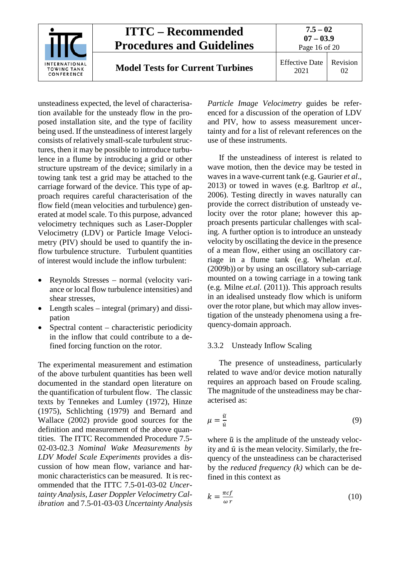

unsteadiness expected, the level of characterisation available for the unsteady flow in the proposed installation site, and the type of facility being used. If the unsteadiness of interest largely consists of relatively small-scale turbulent structures, then it may be possible to introduce turbulence in a flume by introducing a grid or other structure upstream of the device; similarly in a towing tank test a grid may be attached to the carriage forward of the device. This type of approach requires careful characterisation of the flow field (mean velocities and turbulence) generated at model scale. To this purpose, advanced velocimetry techniques such as Laser-Doppler Velocimetry (LDV) or Particle Image Velocimetry (PIV) should be used to quantify the inflow turbulence structure. Turbulent quantities of interest would include the inflow turbulent:

- Reynolds Stresses normal (velocity variance or local flow turbulence intensities) and shear stresses,
- Length scales integral (primary) and dissipation
- Spectral content characteristic periodicity in the inflow that could contribute to a defined forcing function on the rotor.

The experimental measurement and estimation of the above turbulent quantities has been well documented in the standard open literature on the quantification of turbulent flow. The classic texts by Tennekes and Lumley (1972), Hinze (1975), Schlichting (1979) and Bernard and Wallace (2002) provide good sources for the definition and measurement of the above quantities. The ITTC Recommended Procedure 7.5- 02-03-02.3 *Nominal Wake Measurements by LDV Model Scale Experiments* provides a discussion of how mean flow, variance and harmonic characteristics can be measured. It is recommended that the ITTC 7.5-01-03-02 *Uncertainty Analysis, Laser Doppler Velocimetry Calibration* and 7.5-01-03-03 *Uncertainty Analysis*  *Particle Image Velocimetry* guides be referenced for a discussion of the operation of LDV and PIV, how to assess measurement uncertainty and for a list of relevant references on the use of these instruments.

If the unsteadiness of interest is related to wave motion, then the device may be tested in waves in a wave-current tank (e.g. Gaurier *et al*., 2013) or towed in waves (e.g. Barltrop *et al.*, 2006). Testing directly in waves naturally can provide the correct distribution of unsteady velocity over the rotor plane; however this approach presents particular challenges with scaling. A further option is to introduce an unsteady velocity by oscillating the device in the presence of a mean flow, either using an oscillatory carriage in a flume tank (e.g. Whelan *et.al.* (2009b)) or by using an oscillatory sub-carriage mounted on a towing carriage in a towing tank (e.g. Milne *et.al.* (2011)). This approach results in an idealised unsteady flow which is uniform over the rotor plane, but which may allow investigation of the unsteady phenomena using a frequency-domain approach.

## <span id="page-15-0"></span>3.3.2 Unsteady Inflow Scaling

The presence of unsteadiness, particularly related to wave and/or device motion naturally requires an approach based on Froude scaling. The magnitude of the unsteadiness may be characterised as:

$$
\mu = \frac{\tilde{u}}{\bar{u}}\tag{9}
$$

where  $\tilde{u}$  is the amplitude of the unsteady velocity and  $\bar{u}$  is the mean velocity. Similarly, the frequency of the unsteadiness can be characterised by the *reduced frequency (k)* which can be defined in this context as

$$
k = \frac{\pi cf}{\omega r} \tag{10}
$$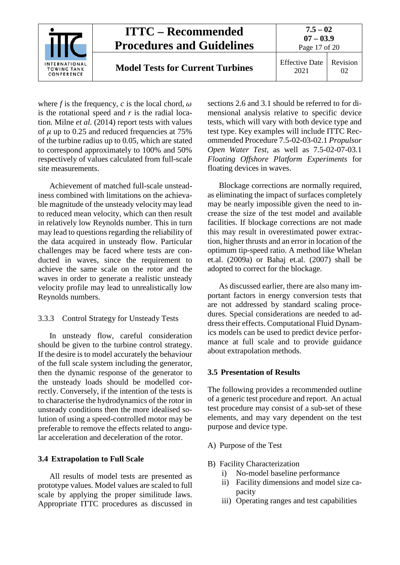

where *f* is the frequency, *c* is the local chord,  $\omega$ is the rotational speed and *r* is the radial location. Milne *et al.* (2014) report tests with values of  $\mu$  up to 0.25 and reduced frequencies at 75% of the turbine radius up to 0.05, which are stated to correspond approximately to 100% and 50% respectively of values calculated from full-scale site measurements.

Achievement of matched full-scale unsteadiness combined with limitations on the achievable magnitude of the unsteady velocity may lead to reduced mean velocity, which can then result in relatively low Reynolds number. This in turn may lead to questions regarding the reliability of the data acquired in unsteady flow. Particular challenges may be faced where tests are conducted in waves, since the requirement to achieve the same scale on the rotor and the waves in order to generate a realistic unsteady velocity profile may lead to unrealistically low Reynolds numbers.

## <span id="page-16-0"></span>3.3.3 Control Strategy for Unsteady Tests

In unsteady flow, careful consideration should be given to the turbine control strategy. If the desire is to model accurately the behaviour of the full scale system including the generator, then the dynamic response of the generator to the unsteady loads should be modelled correctly. Conversely, if the intention of the tests is to characterise the hydrodynamics of the rotor in unsteady conditions then the more idealised solution of using a speed-controlled motor may be preferable to remove the effects related to angular acceleration and deceleration of the rotor.

## <span id="page-16-1"></span>**3.4 Extrapolation to Full Scale**

All results of model tests are presented as prototype values. Model values are scaled to full scale by applying the proper similitude laws. Appropriate ITTC procedures as discussed in sections [2.6](#page-10-0) and [3.1](#page-12-2) should be referred to for dimensional analysis relative to specific device tests, which will vary with both device type and test type. Key examples will include ITTC Recommended Procedure 7.5-02-03-02.1 *Propulsor Open Water Test,* as well as 7.5-02-07-03.1 *Floating Offshore Platform Experiments* for floating devices in waves.

Blockage corrections are normally required, as eliminating the impact of surfaces completely may be nearly impossible given the need to increase the size of the test model and available facilities. If blockage corrections are not made this may result in overestimated power extraction, higher thrusts and an error in location of the optimum tip-speed ratio. A method like Whelan et.al. (2009a) or Bahaj et.al. (2007) shall be adopted to correct for the blockage.

As discussed earlier, there are also many important factors in energy conversion tests that are not addressed by standard scaling procedures. Special considerations are needed to address their effects. Computational Fluid Dynamics models can be used to predict device performance at full scale and to provide guidance about extrapolation methods.

#### <span id="page-16-2"></span>**3.5 Presentation of Results**

The following provides a recommended outline of a generic test procedure and report. An actual test procedure may consist of a sub-set of these elements, and may vary dependent on the test purpose and device type.

- A) Purpose of the Test
- B) Facility Characterization
	- i) No-model baseline performance
	- ii) Facility dimensions and model size capacity
	- iii) Operating ranges and test capabilities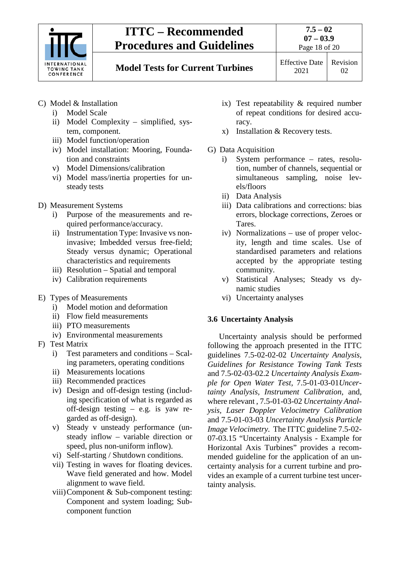

Page 18 of 20

# **Model Tests for Current Turbines** Effective Date

2021

Revision 02

- C) Model & Installation
	- i) Model Scale
	- ii) Model Complexity simplified, system, component.
	- iii) Model function/operation
	- iv) Model installation: Mooring, Foundation and constraints
	- v) Model Dimensions/calibration
	- vi) Model mass/inertia properties for unsteady tests
- D) Measurement Systems
	- i) Purpose of the measurements and required performance/accuracy.
	- ii) Instrumentation Type: Invasive vs noninvasive; Imbedded versus free-field; Steady versus dynamic; Operational characteristics and requirements
	- iii) Resolution Spatial and temporal
	- iv) Calibration requirements
- E) Types of Measurements
	- i) Model motion and deformation
	- ii) Flow field measurements
	- iii) PTO measurements
	- iv) Environmental measurements
- F) Test Matrix
	- i) Test parameters and conditions Scaling parameters, operating conditions
	- ii) Measurements locations
	- iii) Recommended practices
	- iv) Design and off-design testing (including specification of what is regarded as off-design testing – e.g. is yaw regarded as off-design).
	- v) Steady v unsteady performance (unsteady inflow – variable direction or speed, plus non-uniform inflow).
	- vi) Self-starting / Shutdown conditions.
	- vii) Testing in waves for floating devices. Wave field generated and how. Model alignment to wave field.
	- viii)Component & Sub-component testing: Component and system loading; Subcomponent function
- ix) Test repeatability & required number of repeat conditions for desired accuracy.
- x) Installation & Recovery tests.
- G) Data Acquisition
	- i) System performance rates, resolution, number of channels, sequential or simultaneous sampling, noise levels/floors
	- ii) Data Analysis
	- iii) Data calibrations and corrections: bias errors, blockage corrections, Zeroes or Tares.
	- iv) Normalizations use of proper velocity, length and time scales. Use of standardised parameters and relations accepted by the appropriate testing community.
	- v) Statistical Analyses; Steady vs dynamic studies
	- vi) Uncertainty analyses

## <span id="page-17-0"></span>**3.6 Uncertainty Analysis**

Uncertainty analysis should be performed following the approach presented in the ITTC guidelines 7.5-02-02-02 *Uncertainty Analysis, Guidelines for Resistance Towing Tank Tests* and 7.5-02-03-02.2 *Uncertainty Analysis Example for Open Water Test,* 7.5-01-03-01*Uncertainty Analysis, Instrument Calibration*, and, where relevant , 7.5-01-03-02 *Uncertainty Analysis, Laser Doppler Velocimetry Calibration*  and 7.5-01-03-03 *Uncertainty Analysis Particle Image Velocimetry.* The ITTC guideline 7.5-02- 07-03.15 "Uncertainty Analysis - Example for Horizontal Axis Turbines" provides a recommended guideline for the application of an uncertainty analysis for a current turbine and provides an example of a current turbine test uncertainty analysis.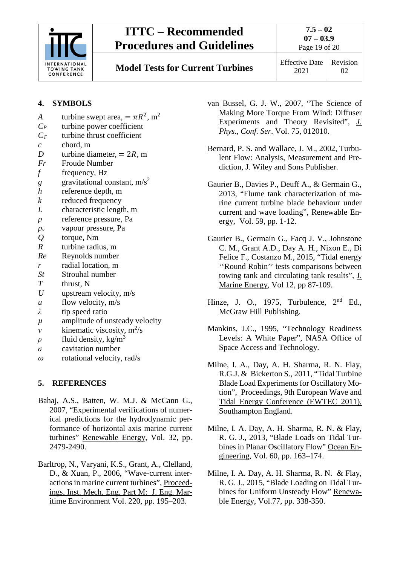

**7.5 – 02 07 – 03.9** Page 19 of 20

**Model Tests for Current Turbines** Effective Date

## **4. SYMBOLS**

- *A* turbine swept area,  $= \pi R^2$ , m<sup>2</sup><br>*C<sub>P</sub>* turbine power coefficient turbine power coefficient *CT* turbine thrust coefficient *c* chord, m *D* turbine diameter,  $= 2R$ , m<br>*Fr* Froude Number **Froude Number** *f* frequency, Hz  $g$  gravitational constant, m/s<sup>2</sup> *h* reference depth, m *k* reduced frequency *L* characteristic length, m *p* reference pressure, Pa *pv* vapour pressure, Pa *Q* torque, Nm *R* turbine radius, m *Re* Reynolds number *r* radial location, m *St* Strouhal number *T* thrust, N *U* upstream velocity, m/s *u* flow velocity, m/s *λ* tip speed ratio *µ* amplitude of unsteady velocity *v* kinematic viscosity,  $m^2/s$  $\rho$  fluid density, kg/m<sup>3</sup> *σ* cavitation number
- <span id="page-18-0"></span>*ω* rotational velocity, rad/s

## **5. REFERENCES**

- Bahaj, A.S., Batten, W. M.J. & McCann G., 2007, "Experimental verifications of numerical predictions for the hydrodynamic performance of horizontal axis marine current turbines" Renewable Energy, Vol. 32, pp. 2479-2490.
- Barltrop, N., Varyani, K.S., Grant, A., Clelland, D., & Xuan, P., 2006, "Wave-current interactions in marine current turbines", Proceedings, Inst. Mech. Eng. Part M: J. Eng. Maritime Environment Vol. 220, pp. 195–203.
- van Bussel, G. J. W., 2007, "The Science of Making More Torque From Wind: Diffuser Experiments and Theory Revisited", *J. Phys.*, *Conf. Ser*. Vol. 75, 012010.
- Bernard, P. S. and Wallace, J. M., 2002, Turbulent Flow: Analysis, Measurement and Prediction, J. Wiley and Sons Publisher.
- Gaurier B., Davies P., Deuff A., & Germain G., 2013, "Flume tank characterization of marine current turbine blade behaviour under current and wave loading", Renewable Energy, Vol. 59, pp. 1-12.
- Gaurier B., Germain G., Facq J. V., Johnstone C. M., Grant A.D., Day A. H., Nixon E., Di Felice F., Costanzo M., 2015, "Tidal energy ''Round Robin'' tests comparisons between towing tank and circulating tank results", J. Marine Energy, Vol 12, pp 87-109.
- Hinze, J. O., 1975, Turbulence,  $2<sup>nd</sup>$  Ed., McGraw Hill Publishing.
- Mankins, J.C., 1995, "Technology Readiness Levels: A White Paper", NASA Office of Space Access and Technology.
- Milne, I. A., Day, A. H. Sharma, R. N. Flay, R.G.J. & Bickerton S., 2011, "Tidal Turbine Blade Load Experiments for Oscillatory Motion", Proceedings, 9th European Wave and Tidal Energy Conference (EWTEC 2011), Southampton England.
- Milne, I. A. Day, A. H. Sharma, R. N. & Flay, R. G. J., 2013, "Blade Loads on Tidal Turbines in Planar Oscillatory Flow" Ocean Engineering, Vol. 60, pp. 163–174.
- Milne, I. A. Day, A. H. Sharma, R. N. & Flay, R. G. J., 2015, "Blade Loading on Tidal Turbines for Uniform Unsteady Flow" Renewable Energy, Vol.77, pp. 338-350.